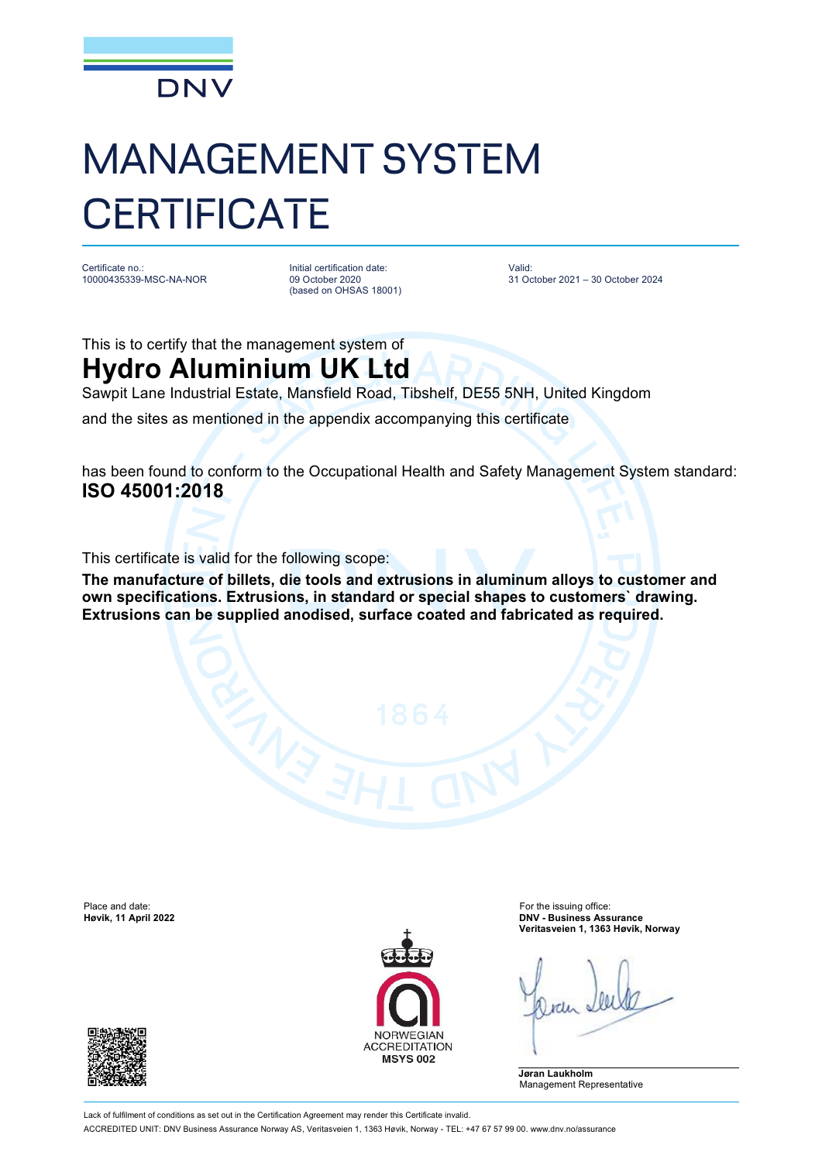

## MANAGEMENT SYSTEM **CERTIFICATE**

Certificate no.: 10000435339-MSC-NA-NOR Initial certification date: 09 October 2020 (based on OHSAS 18001) Valid: 31 October 2021 – 30 October 2024

This is to certify that the management system of

## **Hydro Aluminium UK Ltd**

Sawpit Lane Industrial Estate, Mansfield Road, Tibshelf, DE55 5NH, United Kingdom

and the sites as mentioned in the appendix accompanying this certificate

has been found to conform to the Occupational Health and Safety Management System standard: **ISO 45001:2018**

This certificate is valid for the following scope:

**The manufacture of billets, die tools and extrusions in aluminum alloys to customer and own specifications. Extrusions, in standard or special shapes to customers` drawing. Extrusions can be supplied anodised, surface coated and fabricated as required.**

Place and date: For the issuing office:<br> **Place and date:** For the issuing office:<br> **Place and date:** For the issuing office:<br> **Place and date:** For the issuing office:





**Høvik, 11 April 2022 DNV - Business Assurance Veritasveien 1, 1363 Høvik, Norway**

**Jøran Laukholm** Management Representative

Lack of fulfilment of conditions as set out in the Certification Agreement may render this Certificate invalid. ACCREDITED UNIT: DNV Business Assurance Norway AS, Veritasveien 1, 1363 Høvik, Norway - TEL: +47 67 57 99 00. [www.dnv.no/assurance](http://www.dnv.no/assurance)